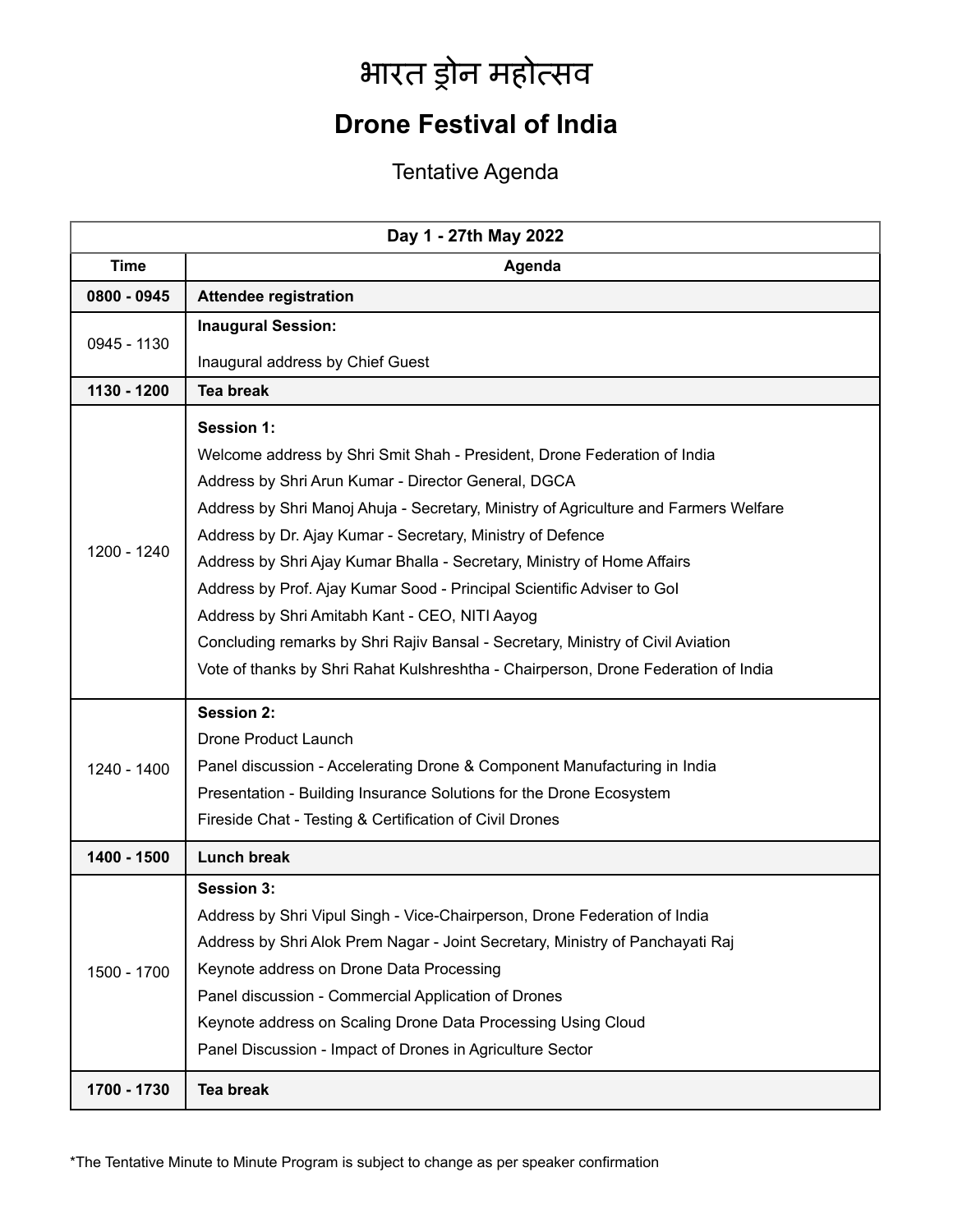## भारत ड्रोन महोत्सव

## **Drone Festival of India**

## Tentative Agenda

| Day 1 - 27th May 2022 |                                                                                                                                                                                                                                                                                                                                                                                                                                                                                                                                                                                                                                                                                            |  |
|-----------------------|--------------------------------------------------------------------------------------------------------------------------------------------------------------------------------------------------------------------------------------------------------------------------------------------------------------------------------------------------------------------------------------------------------------------------------------------------------------------------------------------------------------------------------------------------------------------------------------------------------------------------------------------------------------------------------------------|--|
| <b>Time</b>           | Agenda                                                                                                                                                                                                                                                                                                                                                                                                                                                                                                                                                                                                                                                                                     |  |
| 0800 - 0945           | <b>Attendee registration</b>                                                                                                                                                                                                                                                                                                                                                                                                                                                                                                                                                                                                                                                               |  |
| 0945 - 1130           | <b>Inaugural Session:</b>                                                                                                                                                                                                                                                                                                                                                                                                                                                                                                                                                                                                                                                                  |  |
|                       | Inaugural address by Chief Guest                                                                                                                                                                                                                                                                                                                                                                                                                                                                                                                                                                                                                                                           |  |
| 1130 - 1200           | <b>Tea break</b>                                                                                                                                                                                                                                                                                                                                                                                                                                                                                                                                                                                                                                                                           |  |
| 1200 - 1240           | <b>Session 1:</b><br>Welcome address by Shri Smit Shah - President, Drone Federation of India<br>Address by Shri Arun Kumar - Director General, DGCA<br>Address by Shri Manoj Ahuja - Secretary, Ministry of Agriculture and Farmers Welfare<br>Address by Dr. Ajay Kumar - Secretary, Ministry of Defence<br>Address by Shri Ajay Kumar Bhalla - Secretary, Ministry of Home Affairs<br>Address by Prof. Ajay Kumar Sood - Principal Scientific Adviser to Gol<br>Address by Shri Amitabh Kant - CEO, NITI Aayog<br>Concluding remarks by Shri Rajiv Bansal - Secretary, Ministry of Civil Aviation<br>Vote of thanks by Shri Rahat Kulshreshtha - Chairperson, Drone Federation of India |  |
| 1240 - 1400           | <b>Session 2:</b><br>Drone Product Launch<br>Panel discussion - Accelerating Drone & Component Manufacturing in India<br>Presentation - Building Insurance Solutions for the Drone Ecosystem<br>Fireside Chat - Testing & Certification of Civil Drones                                                                                                                                                                                                                                                                                                                                                                                                                                    |  |
| 1400 - 1500           | <b>Lunch break</b>                                                                                                                                                                                                                                                                                                                                                                                                                                                                                                                                                                                                                                                                         |  |
| 1500 - 1700           | <b>Session 3:</b><br>Address by Shri Vipul Singh - Vice-Chairperson, Drone Federation of India<br>Address by Shri Alok Prem Nagar - Joint Secretary, Ministry of Panchayati Raj<br>Keynote address on Drone Data Processing<br>Panel discussion - Commercial Application of Drones<br>Keynote address on Scaling Drone Data Processing Using Cloud<br>Panel Discussion - Impact of Drones in Agriculture Sector                                                                                                                                                                                                                                                                            |  |
| 1700 - 1730           | <b>Tea break</b>                                                                                                                                                                                                                                                                                                                                                                                                                                                                                                                                                                                                                                                                           |  |